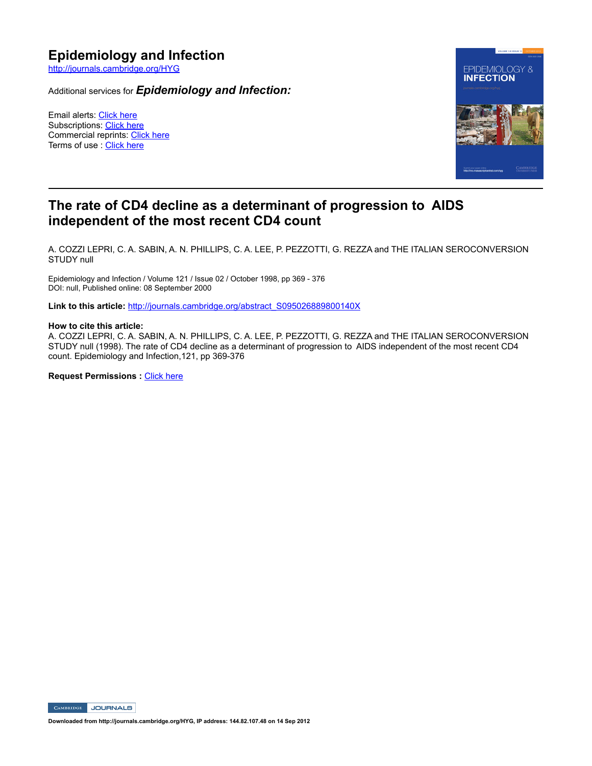http://journals.cambridge.org/HYG

Additional services for *Epidemiology and Infection:*

Email alerts: Click here Subscriptions: Click here Commercial reprints: Click here Terms of use : Click here



# **The rate of CD4 decline as a determinant of progression to AIDS independent of the most recent CD4 count**

A. COZZI LEPRI, C. A. SABIN, A. N. PHILLIPS, C. A. LEE, P. PEZZOTTI, G. REZZA and THE ITALIAN SEROCONVERSION STUDY null

Epidemiology and Infection / Volume 121 / Issue 02 / October 1998, pp 369 - 376 DOI: null, Published online: 08 September 2000

**Link to this article:** http://journals.cambridge.org/abstract\_S095026889800140X

#### **How to cite this article:**

A. COZZI LEPRI, C. A. SABIN, A. N. PHILLIPS, C. A. LEE, P. PEZZOTTI, G. REZZA and THE ITALIAN SEROCONVERSION STUDY null (1998). The rate of CD4 decline as a determinant of progression to AIDS independent of the most recent CD4 count. Epidemiology and Infection, 121, pp 369-376

**Request Permissions : Click here** 

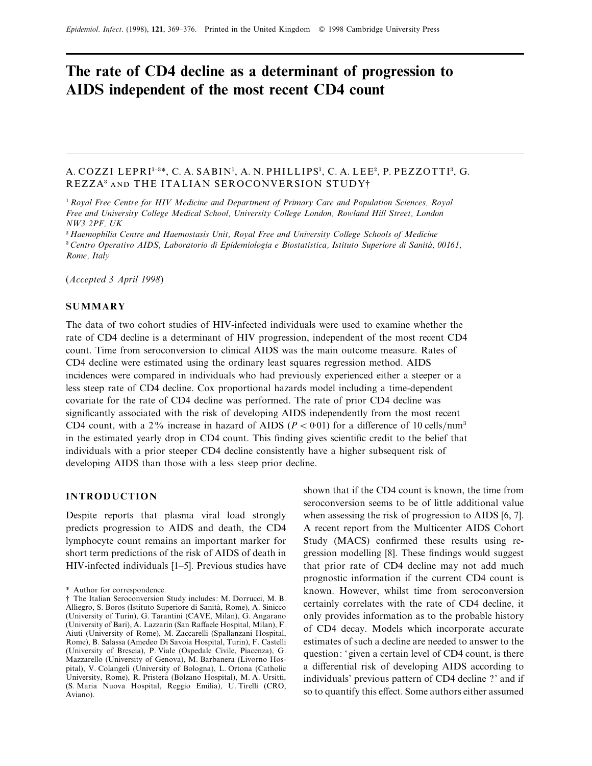# **The rate of CD4 decline as a determinant of progression to AIDS independent of the most recent CD4 count**

# A. COZZI LEPRI<sup>1-3\*</sup>, C. A. SABIN<sup>1</sup>, A. N. PHILLIPS<sup>1</sup>, C. A. LEE<sup>2</sup>, P. PEZZOTTI<sup>3</sup>, G. REZZA<sup>3</sup> AND THE ITALIAN SEROCONVERSION STUDY<sup>†</sup>

" *Royal Free Centre for HIV Medicine and Department of Primary Care and Population Sciences, Royal Free and University College Medical School, University College London, Rowland Hill Street, London NW3 2PF, UK* #

 *Haemophilia Centre and Haemostasis Unit, Royal Free and University College Schools of Medicine* \$<sup>3</sup> Centro Operativo AIDS, Laboratorio di Epidemiologia e Biostatistica, Istituto Superiore di Sanità, 00161, *Rome, Italy*

(*Accepted 3 April 1998*)

#### **SUMMARY**

The data of two cohort studies of HIV-infected individuals were used to examine whether the rate of CD4 decline is a determinant of HIV progression, independent of the most recent CD4 count. Time from seroconversion to clinical AIDS was the main outcome measure. Rates of CD4 decline were estimated using the ordinary least squares regression method. AIDS incidences were compared in individuals who had previously experienced either a steeper or a less steep rate of CD4 decline. Cox proportional hazards model including a time-dependent covariate for the rate of CD4 decline was performed. The rate of prior CD4 decline was significantly associated with the risk of developing AIDS independently from the most recent CD4 count, with a 2% increase in hazard of AIDS ( $P < 0.01$ ) for a difference of 10 cells/mm<sup>3</sup> in the estimated yearly drop in CD4 count. This finding gives scientific credit to the belief that individuals with a prior steeper CD4 decline consistently have a higher subsequent risk of developing AIDS than those with a less steep prior decline.

#### **INTRODUCTION**

Despite reports that plasma viral load strongly predicts progression to AIDS and death, the CD4 lymphocyte count remains an important marker for short term predictions of the risk of AIDS of death in HIV-infected individuals [1–5]. Previous studies have shown that if the CD4 count is known, the time from seroconversion seems to be of little additional value when assessing the risk of progression to AIDS [6, 7]. A recent report from the Multicenter AIDS Cohort Study (MACS) confirmed these results using regression modelling [8]. These findings would suggest that prior rate of CD4 decline may not add much prognostic information if the current CD4 count is known. However, whilst time from seroconversion certainly correlates with the rate of CD4 decline, it only provides information as to the probable history of CD4 decay. Models which incorporate accurate estimates of such a decline are needed to answer to the question: ' given a certain level of CD4 count, is there a differential risk of developing AIDS according to individuals' previous pattern of CD4 decline ?' and if so to quantify this effect. Some authors either assumed

<sup>\*</sup> Author for correspondence.

<sup>†</sup> The Italian Seroconversion Study includes: M. Dorrucci, M. B. Alliegro, S. Boros (Istituto Superiore di Sanità, Rome), A. Sinicco (University of Turin), G. Tarantini (CAVE, Milan), G. Angarano (University of Bari), A. Lazzarin (San Raffaele Hospital, Milan), F. Aiuti (University of Rome), M. Zaccarelli (Spallanzani Hospital, Rome), B. Salassa (Amedeo Di Savoia Hospital, Turin), F. Castelli (University of Brescia), P. Viale (Ospedale Civile, Piacenza), G. Mazzarello (University of Genova), M. Barbanera (Livorno Hospital), V. Colangeli (University of Bologna), L. Ortona (Catholic University, Rome), R. Pristera' (Bolzano Hospital), M. A. Ursitti, (S. Maria Nuova Hospital, Reggio Emilia), U. Tirelli (CRO, Aviano).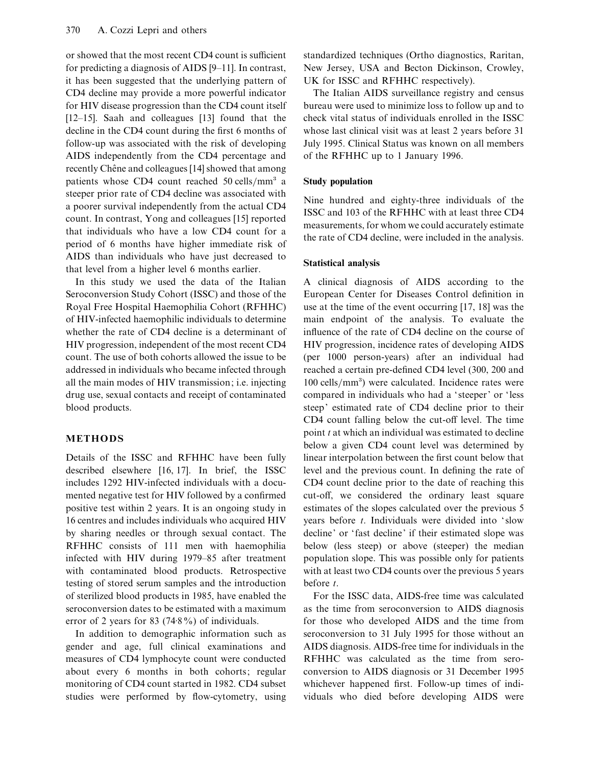or showed that the most recent CD4 count is sufficient for predicting a diagnosis of AIDS [9–11]. In contrast, it has been suggested that the underlying pattern of CD4 decline may provide a more powerful indicator for HIV disease progression than the CD4 count itself [12–15]. Saah and colleagues [13] found that the decline in the CD4 count during the first 6 months of follow-up was associated with the risk of developing AIDS independently from the CD4 percentage and recently Chêne and colleagues [14] showed that among patients whose CD4 count reached  $50$  cells/mm<sup>3</sup> a steeper prior rate of CD4 decline was associated with a poorer survival independently from the actual CD4 count. In contrast, Yong and colleagues [15] reported that individuals who have a low CD4 count for a period of 6 months have higher immediate risk of AIDS than individuals who have just decreased to that level from a higher level 6 months earlier.

In this study we used the data of the Italian Seroconversion Study Cohort (ISSC) and those of the Royal Free Hospital Haemophilia Cohort (RFHHC) of HIV-infected haemophilic individuals to determine whether the rate of CD4 decline is a determinant of HIV progression, independent of the most recent CD4 count. The use of both cohorts allowed the issue to be addressed in individuals who became infected through all the main modes of HIV transmission; i.e. injecting drug use, sexual contacts and receipt of contaminated blood products.

# **METHODS**

Details of the ISSC and RFHHC have been fully described elsewhere [16, 17]. In brief, the ISSC includes 1292 HIV-infected individuals with a documented negative test for HIV followed by a confirmed positive test within 2 years. It is an ongoing study in 16 centres and includes individuals who acquired HIV by sharing needles or through sexual contact. The RFHHC consists of 111 men with haemophilia infected with HIV during 1979–85 after treatment with contaminated blood products. Retrospective testing of stored serum samples and the introduction of sterilized blood products in 1985, have enabled the seroconversion dates to be estimated with a maximum error of 2 years for 83 (74 $\cdot$ 8%) of individuals.

In addition to demographic information such as gender and age, full clinical examinations and measures of CD4 lymphocyte count were conducted about every 6 months in both cohorts; regular monitoring of CD4 count started in 1982. CD4 subset studies were performed by flow-cytometry, using standardized techniques (Ortho diagnostics, Raritan, New Jersey, USA and Becton Dickinson, Crowley, UK for ISSC and RFHHC respectively).

The Italian AIDS surveillance registry and census bureau were used to minimize loss to follow up and to check vital status of individuals enrolled in the ISSC whose last clinical visit was at least 2 years before 31 July 1995. Clinical Status was known on all members of the RFHHC up to 1 January 1996.

## **Study population**

Nine hundred and eighty-three individuals of the ISSC and 103 of the RFHHC with at least three CD4 measurements, for whom we could accurately estimate the rate of CD4 decline, were included in the analysis.

#### **Statistical analysis**

A clinical diagnosis of AIDS according to the European Center for Diseases Control definition in use at the time of the event occurring [17, 18] was the main endpoint of the analysis. To evaluate the influence of the rate of CD4 decline on the course of HIV progression, incidence rates of developing AIDS (per 1000 person-years) after an individual had reached a certain pre-defined CD4 level (300, 200 and 100 cells/mm<sup>3</sup>) were calculated. Incidence rates were compared in individuals who had a ' steeper' or 'less steep' estimated rate of CD4 decline prior to their CD4 count falling below the cut-off level. The time point *t* at which an individual was estimated to decline below a given CD4 count level was determined by linear interpolation between the first count below that level and the previous count. In defining the rate of CD4 count decline prior to the date of reaching this cut-off, we considered the ordinary least square estimates of the slopes calculated over the previous 5 years before *t*. Individuals were divided into ' slow decline' or 'fast decline' if their estimated slope was below (less steep) or above (steeper) the median population slope. This was possible only for patients with at least two CD4 counts over the previous 5 years before *t*.

For the ISSC data, AIDS-free time was calculated as the time from seroconversion to AIDS diagnosis for those who developed AIDS and the time from seroconversion to 31 July 1995 for those without an AIDS diagnosis. AIDS-free time for individuals in the RFHHC was calculated as the time from seroconversion to AIDS diagnosis or 31 December 1995 whichever happened first. Follow-up times of individuals who died before developing AIDS were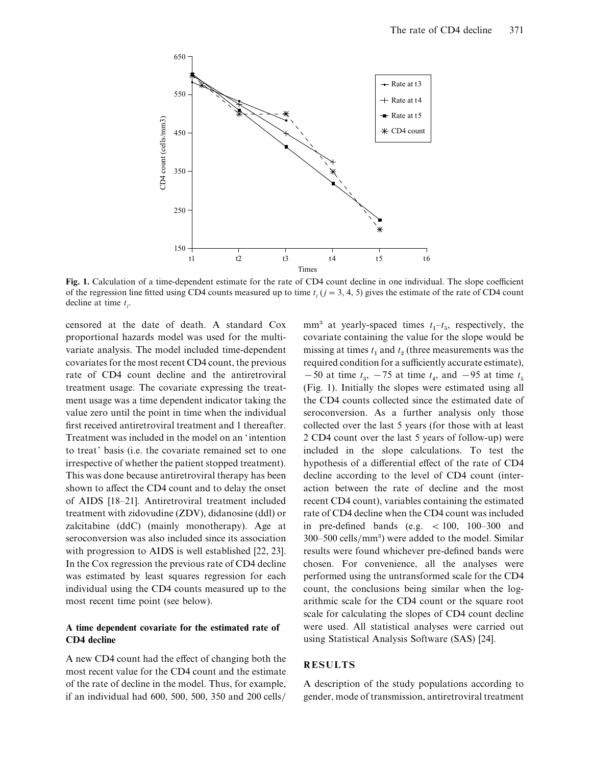

**Fig. 1.** Calculation of a time-dependent estimate for the rate of CD4 count decline in one individual. The slope coefficient of the regression line fitted using CD4 counts measured up to time  $t_j$  ( $j = 3, 4, 5$ ) gives the estimate of the rate of CD4 count decline at time *t j* .

censored at the date of death. A standard Cox proportional hazards model was used for the multivariate analysis. The model included time-dependent covariates for the most recent CD4 count, the previous rate of CD4 count decline and the antiretroviral treatment usage. The covariate expressing the treatment usage was a time dependent indicator taking the value zero until the point in time when the individual first received antiretroviral treatment and 1 thereafter. Treatment was included in the model on an 'intention to treat' basis (i.e. the covariate remained set to one irrespective of whether the patient stopped treatment). This was done because antiretroviral therapy has been shown to affect the CD4 count and to delay the onset of AIDS [18–21]. Antiretroviral treatment included treatment with zidovudine (ZDV), didanosine (ddl) or zalcitabine (ddC) (mainly monotherapy). Age at seroconversion was also included since its association with progression to AIDS is well established [22, 23]. In the Cox regression the previous rate of CD4 decline was estimated by least squares regression for each individual using the CD4 counts measured up to the most recent time point (see below).

## **A time dependent covariate for the estimated rate of CD4 decline**

A new CD4 count had the effect of changing both the most recent value for the CD4 count and the estimate of the rate of decline in the model. Thus, for example, if an individual had 600, 500, 500, 350 and 200 cells}

mm<sup>3</sup> at yearly-spaced times  $t_1 - t_5$ , respectively, the covariate containing the value for the slope would be missing at times  $t_1$  and  $t_2$  (three measurements was the required condition for a sufficiently accurate estimate),  $-50$  at time  $t_3$ ,  $-75$  at time  $t_4$ , and  $-95$  at time  $t_5$  (Fig. 1). Initially the slopes were estimated using all the CD4 counts collected since the estimated date of seroconversion. As a further analysis only those collected over the last 5 years (for those with at least 2 CD4 count over the last 5 years of follow-up) were included in the slope calculations. To test the hypothesis of a differential effect of the rate of CD4 decline according to the level of CD4 count (interaction between the rate of decline and the most recent CD4 count), variables containing the estimated rate of CD4 decline when the CD4 count was included in pre-defined bands (e.g.  $< 100$ , 100–300 and  $300-500$  cells/mm<sup>3</sup>) were added to the model. Similar results were found whichever pre-defined bands were chosen. For convenience, all the analyses were performed using the untransformed scale for the CD4 count, the conclusions being similar when the logarithmic scale for the CD4 count or the square root scale for calculating the slopes of CD4 count decline were used. All statistical analyses were carried out using Statistical Analysis Software (SAS) [24].

# **RESULTS**

A description of the study populations according to gender, mode of transmission, antiretroviral treatment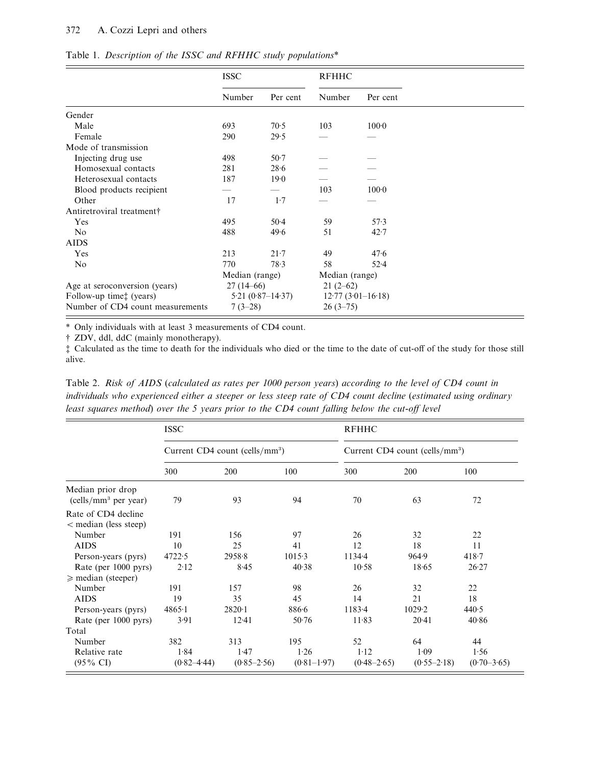#### 372 A. Cozzi Lepri and others

| Table 1. Description of the ISSC and RFHHC study populations* |  |  |  |
|---------------------------------------------------------------|--|--|--|
|                                                               |  |  |  |

|                                  | <b>ISSC</b>          |          | <b>RFHHC</b>   |                     |  |
|----------------------------------|----------------------|----------|----------------|---------------------|--|
|                                  | Number               | Per cent | Number         | Per cent            |  |
| Gender                           |                      |          |                |                     |  |
| Male                             | 693                  | 70.5     | 103            | $100 - 0$           |  |
| Female                           | 290                  | 29.5     |                |                     |  |
| Mode of transmission             |                      |          |                |                     |  |
| Injecting drug use               | 498                  | $50-7$   |                |                     |  |
| Homosexual contacts              | 281                  | 28.6     |                |                     |  |
| Heterosexual contacts            | 187                  | 19.0     |                |                     |  |
| Blood products recipient         |                      |          | 103            | 100 <sub>0</sub>    |  |
| Other                            | 17                   | $1-7$    |                |                     |  |
| Antiretroviral treatment         |                      |          |                |                     |  |
| Yes                              | 495                  | $50-4$   | 59             | 57.3                |  |
| N <sub>o</sub>                   | 488                  | 49.6     | 51             | 42.7                |  |
| <b>AIDS</b>                      |                      |          |                |                     |  |
| Yes                              | 213                  | $21 - 7$ | 49             | 47.6                |  |
| N <sub>0</sub>                   | 770                  | 78.3     | 58             | $52 - 4$            |  |
|                                  | Median (range)       |          | Median (range) |                     |  |
| Age at seroconversion (years)    | $27(14-66)$          |          | $21(2-62)$     |                     |  |
| Follow-up time: (years)          | $5.21(0.87 - 14.37)$ |          |                | $12.77(3.01-16.18)$ |  |
| Number of CD4 count measurements | $7(3-28)$            |          | $26(3-75)$     |                     |  |

\* Only individuals with at least 3 measurements of CD4 count.

† ZDV, ddl, ddC (mainly monotherapy).

‡ Calculated as the time to death for the individuals who died or the time to the date of cut-off of the study for those still alive.

Table 2. *Risk of AIDS* (*calculated as rates per 1000 person years*) *according to the level of CD4 count in individuals who experienced either a steeper or less steep rate of CD4 count decline* (*estimated using ordinary least squares method*) *over the 5 years prior to the CD4 count falling below the cut-off level*

|                                                       | <b>ISSC</b>                                |                 |                 | <b>RFHHC</b>                               |                 |                 |  |
|-------------------------------------------------------|--------------------------------------------|-----------------|-----------------|--------------------------------------------|-----------------|-----------------|--|
|                                                       | Current CD4 count (cells/mm <sup>3</sup> ) |                 |                 | Current CD4 count (cells/mm <sup>3</sup> ) |                 |                 |  |
|                                                       | 300                                        | 200             | 100             | 300                                        | 200             | 100             |  |
| Median prior drop<br>(cells/mm <sup>3</sup> per year) | 79                                         | 93              | 94              | 70                                         | 63              | 72              |  |
| Rate of CD4 decline<br>< median (less steep)          |                                            |                 |                 |                                            |                 |                 |  |
| Number                                                | 191                                        | 156             | 97              | 26                                         | 32              | 22              |  |
| <b>AIDS</b>                                           | 10                                         | 25              | 41              | 12                                         | 18              | 11              |  |
| Person-years (pyrs)                                   | 4722.5                                     | 2958.8          | 1015.3          | $1134 - 4$                                 | 964.9           | 418.7           |  |
| Rate (per 1000 pyrs)                                  | 2.12                                       | 8.45            | 40.38           | 10.58                                      | 18.65           | 26.27           |  |
| $\geq$ median (steeper)                               |                                            |                 |                 |                                            |                 |                 |  |
| Number                                                | 191                                        | 157             | 98              | 26                                         | 32              | 22              |  |
| <b>AIDS</b>                                           | 19                                         | 35              | 45              | 14                                         | 21              | 18              |  |
| Person-years (pyrs)                                   | $4865 - 1$                                 | $2820 \cdot 1$  | 886.6           | 1183.4                                     | 1029.2          | 440.5           |  |
| Rate (per 1000 pyrs)                                  | 3.91                                       | 12.41           | $50-76$         | 11.83                                      | 20.41           | 40.86           |  |
| Total                                                 |                                            |                 |                 |                                            |                 |                 |  |
| Number                                                | 382                                        | 313             | 195             | 52                                         | 64              | 44              |  |
| Relative rate                                         | 1.84                                       | 1.47            | 1.26            | $1-12$                                     | 1.09            | 1.56            |  |
| $(95\% \text{ CI})$                                   | $(0.82 - 4.44)$                            | $(0.85 - 2.56)$ | $(0.81 - 1.97)$ | $(0.48 - 2.65)$                            | $(0.55 - 2.18)$ | $(0.70 - 3.65)$ |  |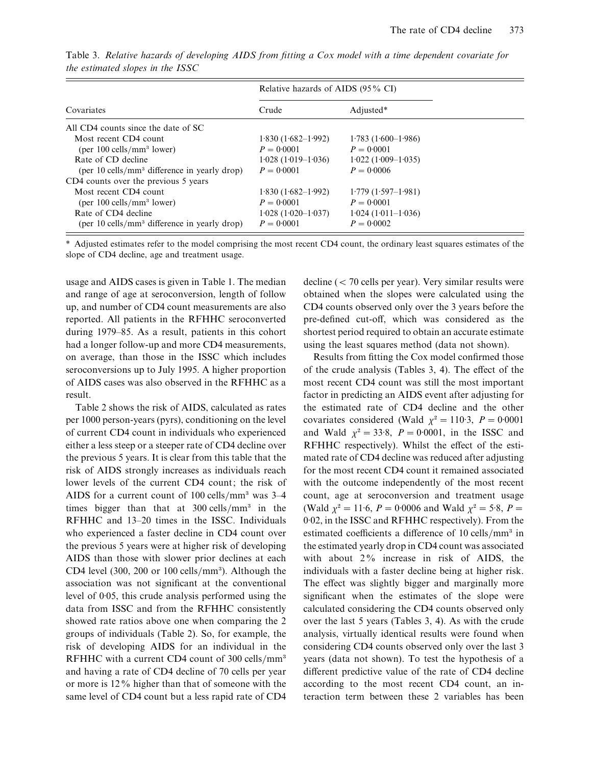|                                                          | Relative hazards of AIDS (95% CI) |                      |  |
|----------------------------------------------------------|-----------------------------------|----------------------|--|
| Covariates                                               | Crude                             | Adjusted*            |  |
| All CD4 counts since the date of SC                      |                                   |                      |  |
| Most recent CD4 count                                    | $1.830(1.682 - 1.992)$            | $1.783(1.600-1.986)$ |  |
| (per $100$ cells/mm <sup>3</sup> lower)                  | $P = 0.0001$                      | $P = 0.0001$         |  |
| Rate of CD decline                                       | $1.028(1.019-1.036)$              | $1.022(1.009-1.035)$ |  |
| (per 10 cells/mm <sup>3</sup> difference in yearly drop) | $P = 0.0001$                      | $P = 0.0006$         |  |
| CD4 counts over the previous 5 years                     |                                   |                      |  |
| Most recent CD4 count                                    | $1.830(1.682 - 1.992)$            | $1.779(1.597-1.981)$ |  |
| (per $100$ cells/mm <sup>3</sup> lower)                  | $P = 0.0001$                      | $P = 0.0001$         |  |
| Rate of CD4 decline                                      | $1.028(1.020-1.037)$              | $1.024(1.011-1.036)$ |  |
| (per 10 cells/mm <sup>3</sup> difference in yearly drop) | $P = 0.0001$                      | $P = 0.0002$         |  |

Table 3. *Relative hazards of developing AIDS from fitting a Cox model with a time dependent covariate for the estimated slopes in the ISSC*

\* Adjusted estimates refer to the model comprising the most recent CD4 count, the ordinary least squares estimates of the slope of CD4 decline, age and treatment usage.

usage and AIDS cases is given in Table 1. The median and range of age at seroconversion, length of follow up, and number of CD4 count measurements are also reported. All patients in the RFHHC seroconverted during 1979–85. As a result, patients in this cohort had a longer follow-up and more CD4 measurements, on average, than those in the ISSC which includes seroconversions up to July 1995. A higher proportion of AIDS cases was also observed in the RFHHC as a result.

Table 2 shows the risk of AIDS, calculated as rates per 1000 person-years (pyrs), conditioning on the level of current CD4 count in individuals who experienced either a less steep or a steeper rate of CD4 decline over the previous 5 years. It is clear from this table that the risk of AIDS strongly increases as individuals reach lower levels of the current CD4 count; the risk of AIDS for a current count of  $100$  cells/mm<sup>3</sup> was  $3-4$ times bigger than that at  $300$  cells/mm<sup>3</sup> in the RFHHC and 13–20 times in the ISSC. Individuals who experienced a faster decline in CD4 count over the previous 5 years were at higher risk of developing AIDS than those with slower prior declines at each CD4 level (300, 200 or 100 cells/ $\text{mm}^3$ ). Although the association was not significant at the conventional level of 0.05, this crude analysis performed using the data from ISSC and from the RFHHC consistently showed rate ratios above one when comparing the 2 groups of individuals (Table 2). So, for example, the risk of developing AIDS for an individual in the RFHHC with a current CD4 count of 300 cells/mm<sup>3</sup> and having a rate of CD4 decline of 70 cells per year or more is 12% higher than that of someone with the same level of CD4 count but a less rapid rate of CD4 decline  $(< 70$  cells per year). Very similar results were obtained when the slopes were calculated using the CD4 counts observed only over the 3 years before the pre-defined cut-off, which was considered as the shortest period required to obtain an accurate estimate using the least squares method (data not shown).

Results from fitting the Cox model confirmed those of the crude analysis (Tables 3, 4). The effect of the most recent CD4 count was still the most important factor in predicting an AIDS event after adjusting for the estimated rate of CD4 decline and the other covariates considered (Wald  $\chi^2 = 110.3$ ,  $P = 0.0001$ and Wald  $\chi^2 = 33.8$ ,  $P = 0.0001$ , in the ISSC and RFHHC respectively). Whilst the effect of the estimated rate of CD4 decline was reduced after adjusting for the most recent CD4 count it remained associated with the outcome independently of the most recent count, age at seroconversion and treatment usage (Wald  $\chi^2 = 11.6$ ,  $P = 0.0006$  and Wald  $\chi^2 = 5.8$ ,  $P =$ 0.02, in the ISSC and RFHHC respectively). From the estimated coefficients a difference of 10 cells/mm<sup>3</sup> in the estimated yearly drop in CD4 count was associated with about 2% increase in risk of AIDS, the individuals with a faster decline being at higher risk. The effect was slightly bigger and marginally more significant when the estimates of the slope were calculated considering the CD4 counts observed only over the last 5 years (Tables 3, 4). As with the crude analysis, virtually identical results were found when considering CD4 counts observed only over the last 3 years (data not shown). To test the hypothesis of a different predictive value of the rate of CD4 decline according to the most recent CD4 count, an interaction term between these 2 variables has been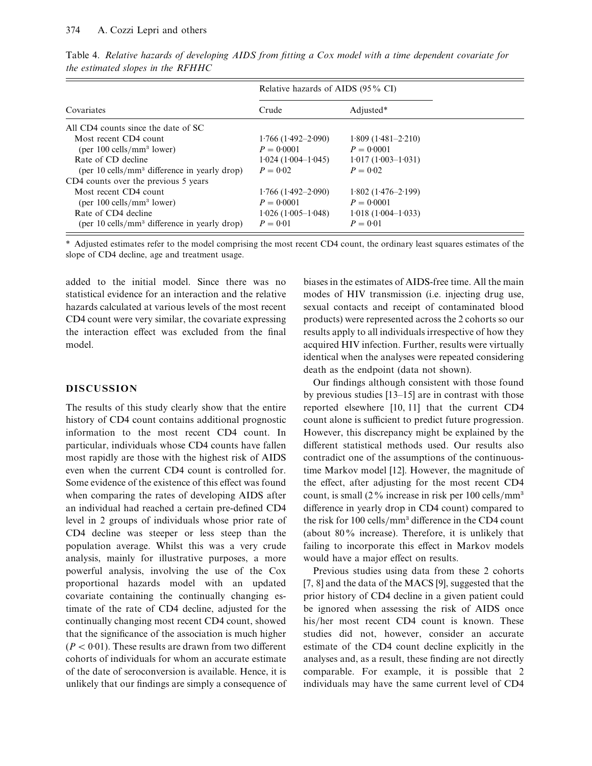|                                                          | Relative hazards of AIDS (95% CI) |                        |  |
|----------------------------------------------------------|-----------------------------------|------------------------|--|
| Covariates                                               | Crude                             | Adjusted*              |  |
| All CD4 counts since the date of SC                      |                                   |                        |  |
| Most recent CD4 count                                    | $1.766(1.492 - 2.090)$            | $1.809(1.481 - 2.210)$ |  |
| (per $100$ cells/mm <sup>3</sup> lower)                  | $P = 0.0001$                      | $P = 0.0001$           |  |
| Rate of CD decline                                       | $1.024(1.004-1.045)$              | $1.017(1.003-1.031)$   |  |
| (per 10 cells/mm <sup>3</sup> difference in yearly drop) | $P = 0.02$                        | $P = 0.02$             |  |
| CD4 counts over the previous 5 years                     |                                   |                        |  |
| Most recent CD4 count                                    | $1.766(1.492 - 2.090)$            | $1.802(1.476 - 2.199)$ |  |
| (per $100$ cells/mm <sup>3</sup> lower)                  | $P = 0.0001$                      | $P = 0.0001$           |  |
| Rate of CD4 decline                                      | $1.026(1.005-1.048)$              | $1.018(1.004-1.033)$   |  |
| (per 10 cells/mm <sup>3</sup> difference in yearly drop) | $P = 0.01$                        | $P = 0.01$             |  |

Table 4. *Relative hazards of developing AIDS from fitting a Cox model with a time dependent covariate for the estimated slopes in the RFHHC*

\* Adjusted estimates refer to the model comprising the most recent CD4 count, the ordinary least squares estimates of the slope of CD4 decline, age and treatment usage.

added to the initial model. Since there was no statistical evidence for an interaction and the relative hazards calculated at various levels of the most recent CD4 count were very similar, the covariate expressing the interaction effect was excluded from the final model.

# **DISCUSSION**

The results of this study clearly show that the entire history of CD4 count contains additional prognostic information to the most recent CD4 count. In particular, individuals whose CD4 counts have fallen most rapidly are those with the highest risk of AIDS even when the current CD4 count is controlled for. Some evidence of the existence of this effect was found when comparing the rates of developing AIDS after an individual had reached a certain pre-defined CD4 level in 2 groups of individuals whose prior rate of CD4 decline was steeper or less steep than the population average. Whilst this was a very crude analysis, mainly for illustrative purposes, a more powerful analysis, involving the use of the Cox proportional hazards model with an updated covariate containing the continually changing estimate of the rate of CD4 decline, adjusted for the continually changing most recent CD4 count, showed that the significance of the association is much higher  $(P < 0.01)$ . These results are drawn from two different cohorts of individuals for whom an accurate estimate of the date of seroconversion is available. Hence, it is unlikely that our findings are simply a consequence of biases in the estimates of AIDS-free time. All the main modes of HIV transmission (i.e. injecting drug use, sexual contacts and receipt of contaminated blood products) were represented across the 2 cohorts so our results apply to all individuals irrespective of how they acquired HIV infection. Further, results were virtually identical when the analyses were repeated considering death as the endpoint (data not shown).

Our findings although consistent with those found by previous studies [13–15] are in contrast with those reported elsewhere [10, 11] that the current CD4 count alone is sufficient to predict future progression. However, this discrepancy might be explained by the different statistical methods used. Our results also contradict one of the assumptions of the continuoustime Markov model [12]. However, the magnitude of the effect, after adjusting for the most recent CD4 count, is small ( $2\%$  increase in risk per 100 cells/mm<sup>3</sup> difference in yearly drop in CD4 count) compared to the risk for  $100$  cells/mm<sup>3</sup> difference in the CD4 count (about 80% increase). Therefore, it is unlikely that failing to incorporate this effect in Markov models would have a major effect on results.

Previous studies using data from these 2 cohorts [7, 8] and the data of the MACS [9], suggested that the prior history of CD4 decline in a given patient could be ignored when assessing the risk of AIDS once his/her most recent CD4 count is known. These studies did not, however, consider an accurate estimate of the CD4 count decline explicitly in the analyses and, as a result, these finding are not directly comparable. For example, it is possible that 2 individuals may have the same current level of CD4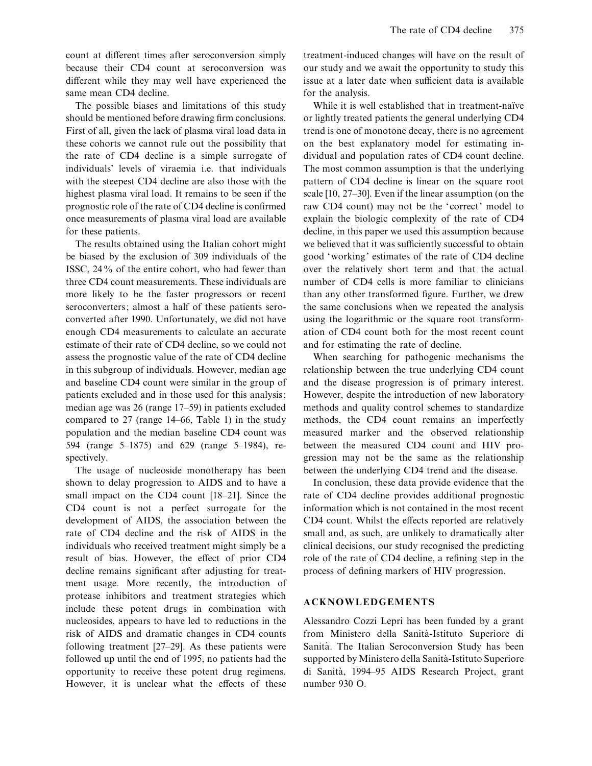count at different times after seroconversion simply because their CD4 count at seroconversion was different while they may well have experienced the same mean CD4 decline.

The possible biases and limitations of this study should be mentioned before drawing firm conclusions. First of all, given the lack of plasma viral load data in these cohorts we cannot rule out the possibility that the rate of CD4 decline is a simple surrogate of individuals' levels of viraemia i.e. that individuals with the steepest CD4 decline are also those with the highest plasma viral load. It remains to be seen if the prognostic role of the rate of CD4 decline is confirmed once measurements of plasma viral load are available for these patients.

The results obtained using the Italian cohort might be biased by the exclusion of 309 individuals of the ISSC, 24% of the entire cohort, who had fewer than three CD4 count measurements. These individuals are more likely to be the faster progressors or recent seroconverters; almost a half of these patients seroconverted after 1990. Unfortunately, we did not have enough CD4 measurements to calculate an accurate estimate of their rate of CD4 decline, so we could not assess the prognostic value of the rate of CD4 decline in this subgroup of individuals. However, median age and baseline CD4 count were similar in the group of patients excluded and in those used for this analysis; median age was 26 (range 17–59) in patients excluded compared to 27 (range 14–66, Table 1) in the study population and the median baseline CD4 count was 594 (range 5–1875) and 629 (range 5–1984), respectively.

The usage of nucleoside monotherapy has been shown to delay progression to AIDS and to have a small impact on the CD4 count [18–21]. Since the CD4 count is not a perfect surrogate for the development of AIDS, the association between the rate of CD4 decline and the risk of AIDS in the individuals who received treatment might simply be a result of bias. However, the effect of prior CD4 decline remains significant after adjusting for treatment usage. More recently, the introduction of protease inhibitors and treatment strategies which include these potent drugs in combination with nucleosides, appears to have led to reductions in the risk of AIDS and dramatic changes in CD4 counts following treatment [27–29]. As these patients were followed up until the end of 1995, no patients had the opportunity to receive these potent drug regimens. However, it is unclear what the effects of these treatment-induced changes will have on the result of our study and we await the opportunity to study this issue at a later date when sufficient data is available for the analysis.

While it is well established that in treatment-naïve or lightly treated patients the general underlying CD4 trend is one of monotone decay, there is no agreement on the best explanatory model for estimating individual and population rates of CD4 count decline. The most common assumption is that the underlying pattern of CD4 decline is linear on the square root scale [10, 27–30]. Even if the linear assumption (on the raw CD4 count) may not be the 'correct' model to explain the biologic complexity of the rate of CD4 decline, in this paper we used this assumption because we believed that it was sufficiently successful to obtain good 'working' estimates of the rate of CD4 decline over the relatively short term and that the actual number of CD4 cells is more familiar to clinicians than any other transformed figure. Further, we drew the same conclusions when we repeated the analysis using the logarithmic or the square root transformation of CD4 count both for the most recent count and for estimating the rate of decline.

When searching for pathogenic mechanisms the relationship between the true underlying CD4 count and the disease progression is of primary interest. However, despite the introduction of new laboratory methods and quality control schemes to standardize methods, the CD4 count remains an imperfectly measured marker and the observed relationship between the measured CD4 count and HIV progression may not be the same as the relationship between the underlying CD4 trend and the disease.

In conclusion, these data provide evidence that the rate of CD4 decline provides additional prognostic information which is not contained in the most recent CD4 count. Whilst the effects reported are relatively small and, as such, are unlikely to dramatically alter clinical decisions, our study recognised the predicting role of the rate of CD4 decline, a refining step in the process of defining markers of HIV progression.

#### **ACKNOWLEDGEMENTS**

Alessandro Cozzi Lepri has been funded by a grant from Ministero della Sanita'-Istituto Superiore di Sanità. The Italian Seroconversion Study has been supported by Ministero della Sanità-Istituto Superiore di Sanità, 1994–95 AIDS Research Project, grant number 930 O.